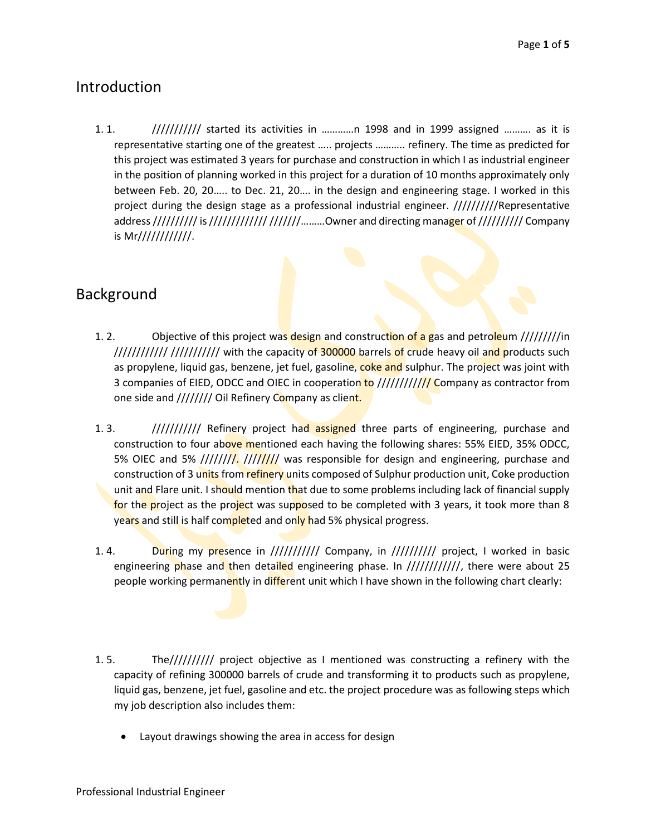# Introduction

1. 1.  $\frac{1}{1!}$  //////////// started its activities in …………n 1998 and in 1999 assigned ………. as it is representative starting one of the greatest ….. projects ……….. refinery. The time as predicted for this project was estimated 3 years for purchase and construction in which I as industrial engineer in the position of planning worked in this project for a duration of 10 months approximately only between Feb. 20, 20….. to Dec. 21, 20…. in the design and engineering stage. I worked in this project during the design stage as a professional industrial engineer. //////////Representative address ////////// is ////////////////////........Owner and directing manager of ////////// Company is Mr////////////.

#### Background

- 1. 2. Objective of this project was design and construction of a gas and petroleum /////////in //////////// /////////// with the capacity of 300000 barrels of crude heavy oil and products such as propylene, liquid gas, benzene, jet fuel, gasoline, coke and sulphur. The project was joint with 3 companies of EIED, ODCC and OIEC in cooperation to /////////////// Company as contractor from one side and //////// Oil Refinery Company as client.
- 1. 3. ////////////// Refinery project had assigned three parts of engineering, purchase and construction to four above mentioned each having the following shares: 55% EIED, 35% ODCC, 5% OIEC and 5% /////////. ///////// was responsible for design and engineering, purchase and construction of 3 units from refinery units composed of Sulphur production unit, Coke production unit and Flare unit. I should mention that due to some problems including lack of financial supply for the project as the project was supposed to be completed with 3 years, it took more than 8 years and still is half completed and only had 5% physical progress.
- 1.4. During my presence in ////////// Company, in ////////// project, I worked in basic engineering phase and then detailed engineering phase. In /////////////, there were about 25 people working permanently in different unit which I have shown in the following chart clearly:
- 1. 5. The////////// project objective as I mentioned was constructing a refinery with the capacity of refining 300000 barrels of crude and transforming it to products such as propylene, liquid gas, benzene, jet fuel, gasoline and etc. the project procedure was as following steps which my job description also includes them:
	- Layout drawings showing the area in access for design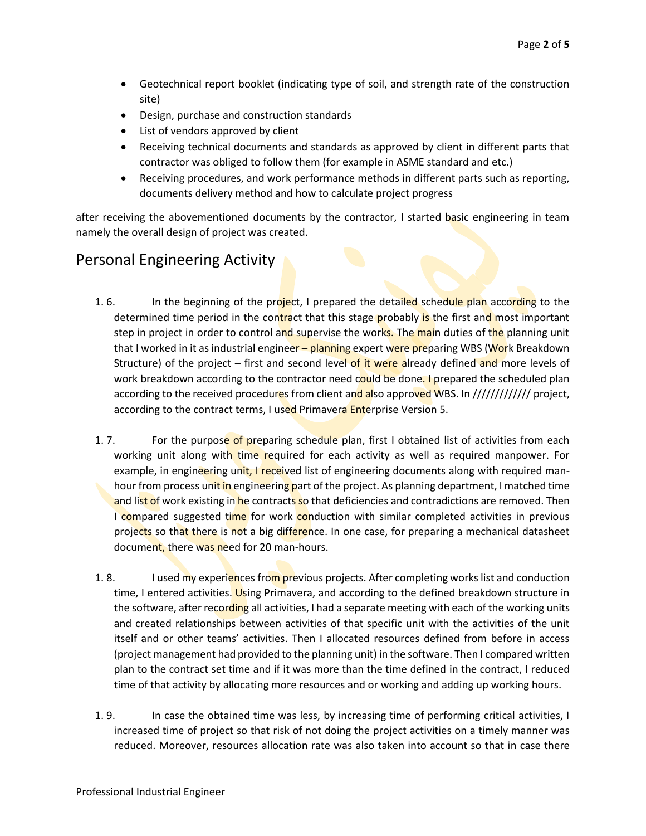- Geotechnical report booklet (indicating type of soil, and strength rate of the construction site)
- Design, purchase and construction standards
- List of vendors approved by client
- Receiving technical documents and standards as approved by client in different parts that contractor was obliged to follow them (for example in ASME standard and etc.)
- Receiving procedures, and work performance methods in different parts such as reporting, documents delivery method and how to calculate project progress

after receiving the abovementioned documents by the contractor, I started basic engineering in team namely the overall design of project was created.

# Personal Engineering Activity

- 1. 6. In the beginning of the project, I prepared the detailed schedule plan according to the determined time period in the contract that this stage probably is the first and most important step in project in order to control and supervise the works. The main duties of the planning unit that I worked in it as industrial engineer – planning expert were preparing WBS (Work Breakdown Structure) of the project  $-$  first and second level of it were already defined and more levels of work breakdown according to the contractor need could be done. I prepared the scheduled plan according to the received procedures from client and also approved WBS. In ////////////// project, according to the contract terms, I used Primavera Enterprise Version 5.
- 1. 7. For the purpose of preparing schedule plan, first I obtained list of activities from each working unit along with time required for each activity as well as required manpower. For example, in engineering unit, I received list of engineering documents along with required manhour from process unit in engineering part of the project. As planning department, I matched time and list of work existing in he contracts so that deficiencies and contradictions are removed. Then I compared suggested time for work conduction with similar completed activities in previous projects so that there is not a big difference. In one case, for preparing a mechanical datasheet document, there was need for 20 man-hours.
- 1. 8. I used my experiences from previous projects. After completing works list and conduction time, I entered activities. Using Primavera, and according to the defined breakdown structure in the software, after recording all activities, I had a separate meeting with each of the working units and created relationships between activities of that specific unit with the activities of the unit itself and or other teams' activities. Then I allocated resources defined from before in access (project management had provided to the planning unit) in the software. Then I compared written plan to the contract set time and if it was more than the time defined in the contract, I reduced time of that activity by allocating more resources and or working and adding up working hours.
- 1. 9. In case the obtained time was less, by increasing time of performing critical activities, I increased time of project so that risk of not doing the project activities on a timely manner was reduced. Moreover, resources allocation rate was also taken into account so that in case there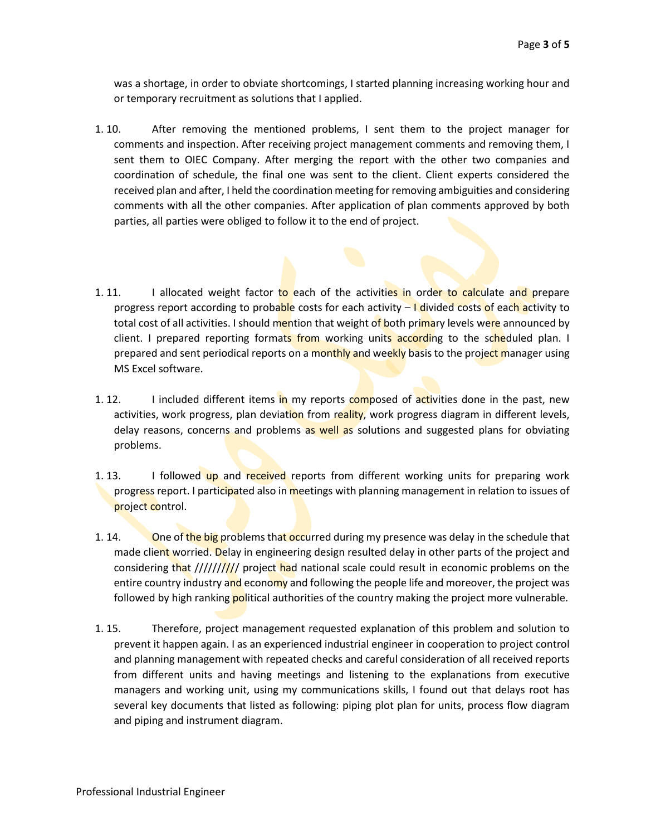was a shortage, in order to obviate shortcomings, I started planning increasing working hour and or temporary recruitment as solutions that I applied.

- 1. 10. After removing the mentioned problems, I sent them to the project manager for comments and inspection. After receiving project management comments and removing them, I sent them to OIEC Company. After merging the report with the other two companies and coordination of schedule, the final one was sent to the client. Client experts considered the received plan and after, I held the coordination meeting for removing ambiguities and considering comments with all the other companies. After application of plan comments approved by both parties, all parties were obliged to follow it to the end of project.
- 1. 11. I allocated weight factor to each of the activities in order to calculate and prepare progress report according to probable costs for each activity – I divided costs of each activity to total cost of all activities. I should mention that weight of both primary levels were announced by client. I prepared reporting formats from working units according to the scheduled plan. I prepared and sent periodical reports on a monthly and weekly basis to the project manager using MS Excel software.
- 1. 12. I included different items in my reports composed of activities done in the past, new activities, work progress, plan deviation from reality, work progress diagram in different levels, delay reasons, concerns and problems as well as solutions and suggested plans for obviating problems.
- 1. 13. I followed up and received reports from different working units for preparing work progress report. I participated also in meetings with planning management in relation to issues of project control.
- 1. 14. One of the big problems that occurred during my presence was delay in the schedule that made client worried. Delay in engineering design resulted delay in other parts of the project and considering that /////////// project had national scale could result in economic problems on the entire country industry and economy and following the people life and moreover, the project was followed by high ranking **political authorities of the country making the project more vulnerable.**
- 1. 15. Therefore, project management requested explanation of this problem and solution to prevent it happen again. I as an experienced industrial engineer in cooperation to project control and planning management with repeated checks and careful consideration of all received reports from different units and having meetings and listening to the explanations from executive managers and working unit, using my communications skills, I found out that delays root has several key documents that listed as following: piping plot plan for units, process flow diagram and piping and instrument diagram.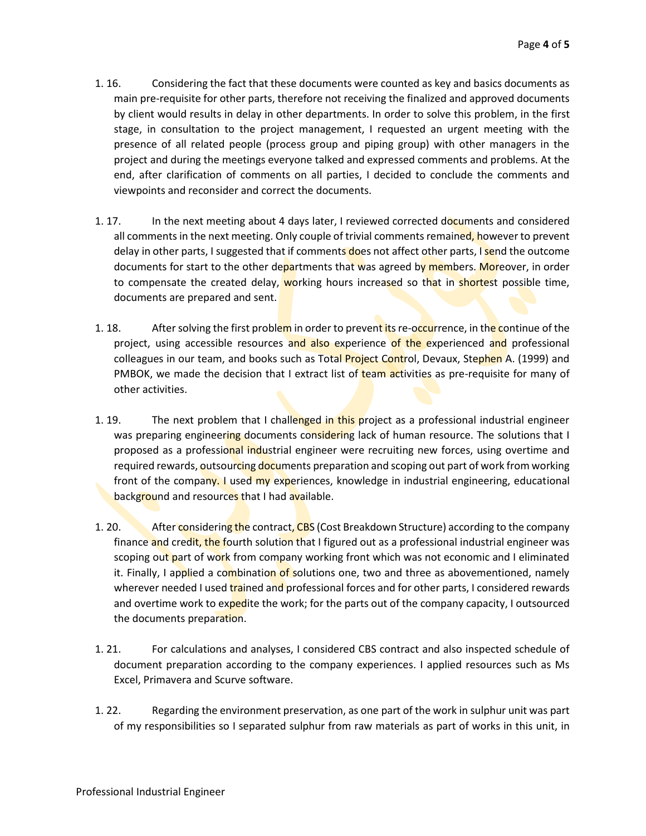- 1. 16. Considering the fact that these documents were counted as key and basics documents as main pre-requisite for other parts, therefore not receiving the finalized and approved documents by client would results in delay in other departments. In order to solve this problem, in the first stage, in consultation to the project management, I requested an urgent meeting with the presence of all related people (process group and piping group) with other managers in the project and during the meetings everyone talked and expressed comments and problems. At the end, after clarification of comments on all parties, I decided to conclude the comments and viewpoints and reconsider and correct the documents.
- 1. 17. In the next meeting about 4 days later, I reviewed corrected documents and considered all comments in the next meeting. Only couple of trivial comments remained, however to prevent delay in other parts, I suggested that if comments does not affect other parts, I send the outcome documents for start to the other departments that was agreed by members. Moreover, in order to compensate the created delay, working hours increased so that in shortest possible time, documents are prepared and sent.
- 1. 18. After solving the first problem in order to preventits re-occurrence, in the continue of the project, using accessible resources and also experience of the experienced and professional colleagues in our team, and books such as Total Project Control, Devaux, Stephen A. (1999) and PMBOK, we made the decision that I extract list of **team activities as pre-requisite for many of** other activities.
- 1. 19. The next problem that I challenged in this project as a professional industrial engineer was preparing engineering documents considering lack of human resource. The solutions that I proposed as a professional industrial engineer were recruiting new forces, using overtime and required rewards, outsourcing documents preparation and scoping out part of work from working front of the company. I used my experiences, knowledge in industrial engineering, educational background and resources that I had available.
- 1. 20. After considering the contract, CBS (Cost Breakdown Structure) according to the company finance and credit, the fourth solution that I figured out as a professional industrial engineer was scoping out part of work from company working front which was not economic and I eliminated it. Finally, I applied a combination of solutions one, two and three as abovementioned, namely wherever needed I used trained and professional forces and for other parts, I considered rewards and overtime work to expedite the work; for the parts out of the company capacity, I outsourced the documents preparation.
- 1. 21. For calculations and analyses, I considered CBS contract and also inspected schedule of document preparation according to the company experiences. I applied resources such as Ms Excel, Primavera and Scurve software.
- 1. 22. Regarding the environment preservation, as one part of the work in sulphur unit was part of my responsibilities so I separated sulphur from raw materials as part of works in this unit, in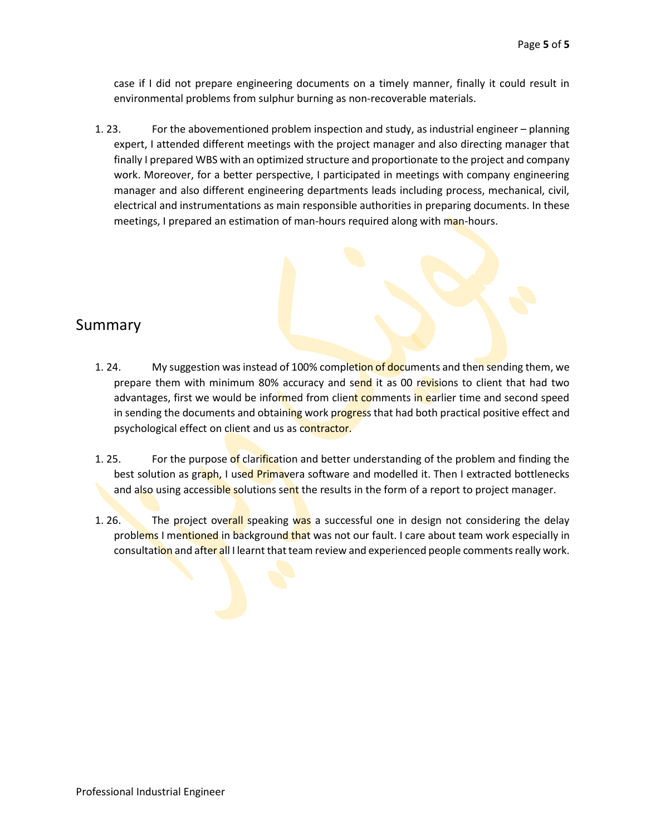case if I did not prepare engineering documents on a timely manner, finally it could result in environmental problems from sulphur burning as non-recoverable materials.

1. 23. For the abovementioned problem inspection and study, as industrial engineer – planning expert, I attended different meetings with the project manager and also directing manager that finally I prepared WBS with an optimized structure and proportionate to the project and company work. Moreover, for a better perspective, I participated in meetings with company engineering manager and also different engineering departments leads including process, mechanical, civil, electrical and instrumentations as main responsible authorities in preparing documents. In these meetings, I prepared an estimation of man-hours required along with man-hours.

#### Summary

- 1. 24. My suggestion was instead of 100% completion of documents and then sending them, we prepare them with minimum 80% accuracy and send it as 00 revisions to client that had two advantages, first we would be informed from client comments in earlier time and second speed in sending the documents and obtaining work progress that had both practical positive effect and psychological effect on client and us as contractor.
- 1. 25. For the purpose of clarification and better understanding of the problem and finding the best solution as graph, I used Primavera software and modelled it. Then I extracted bottlenecks and also using accessible solutions sent the results in the form of a report to project manager.
- 1. 26. The project overall speaking was a successful one in design not considering the delay problems I mentioned in background that was not our fault. I care about team work especially in consultation and after all I learnt that team review and experienced people comments really work.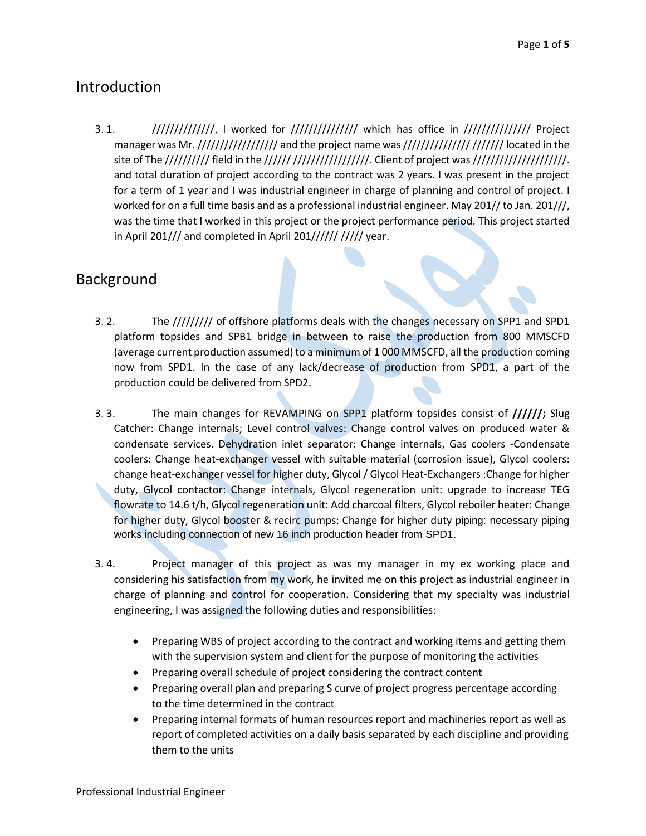# Introduction

3. 1. *////////////////,* I worked for /////////////// which has office in /////////////// Project manager was Mr. /////////////////////////// and the project name was ////////////////////////////// located in the site of The ////////// field in the ////// /////////////////. Client of project was ////////////////////////// and total duration of project according to the contract was 2 years. I was present in the project for a term of 1 year and I was industrial engineer in charge of planning and control of project. I worked for on a full time basis and as a professional industrial engineer. May 201// to Jan. 201///, was the time that I worked in this project or the project performance period. This project started in April 201/// and completed in April 201////// ///// year.

# Background

- 3. 2. The ///////// of offshore platforms deals with the changes necessary on SPP1 and SPD1 platform topsides and SPB1 bridge in between to raise the production from 800 MMSCFD (average current production assumed) to a minimum of 1 000 MMSCFD, all the production coming now from SPD1. In the case of any lack/decrease of production from SPD1, a part of the production could be delivered from SPD2.
- 3. 3. The main changes for REVAMPING on SPP1 platform topsides consist of **//////;** Slug Catcher: Change internals; Level control valves: Change control valves on produced water & condensate services. Dehydration inlet separator: Change internals, Gas coolers -Condensate coolers: Change heat-exchanger vessel with suitable material (corrosion issue), Glycol coolers: change heat-exchanger vessel for higher duty, Glycol / Glycol Heat-Exchangers :Change for higher duty, Glycol contactor: Change internals, Glycol regeneration unit: upgrade to increase TEG flowrate to 14.6 t/h, Glycol regeneration unit: Add charcoal filters, Glycol reboiler heater: Change for higher duty, Glycol booster & recirc pumps: Change for higher duty piping: necessary piping works including connection of new 16 inch production header from SPD1.
- 3. 4. Project manager of this project as was my manager in my ex working place and considering his satisfaction from my work, he invited me on this project as industrial engineer in charge of planning and control for cooperation. Considering that my specialty was industrial engineering, I was assigned the following duties and responsibilities:
	- Preparing WBS of project according to the contract and working items and getting them with the supervision system and client for the purpose of monitoring the activities
	- Preparing overall schedule of project considering the contract content
	- Preparing overall plan and preparing S curve of project progress percentage according to the time determined in the contract
	- Preparing internal formats of human resources report and machineries report as well as report of completed activities on a daily basis separated by each discipline and providing them to the units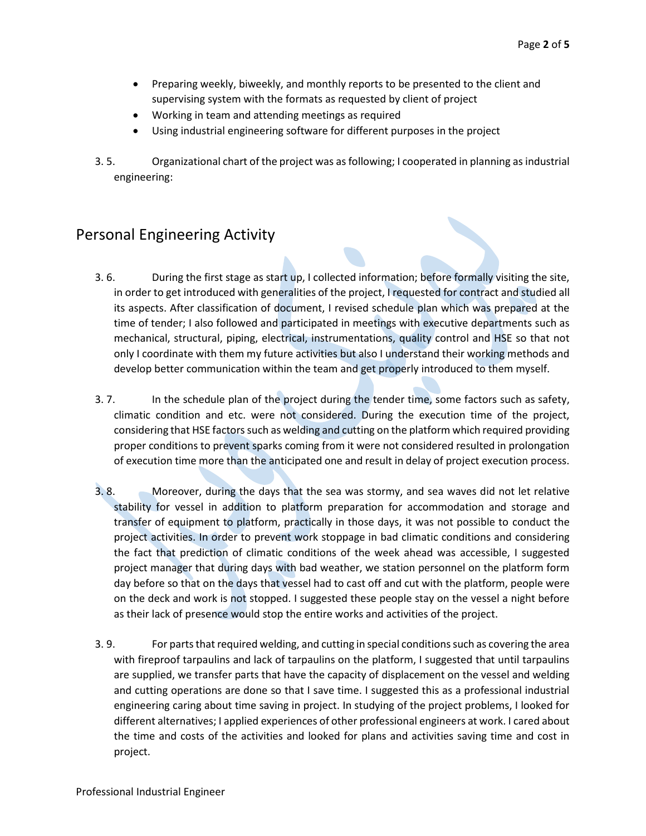- Preparing weekly, biweekly, and monthly reports to be presented to the client and supervising system with the formats as requested by client of project
- Working in team and attending meetings as required
- Using industrial engineering software for different purposes in the project
- 3. 5. Organizational chart of the project was as following; I cooperated in planning as industrial engineering:

# Personal Engineering Activity

- 3. 6. During the first stage as start up, I collected information; before formally visiting the site, in order to get introduced with generalities of the project, I requested for contract and studied all its aspects. After classification of document, I revised schedule plan which was prepared at the time of tender; I also followed and participated in meetings with executive departments such as mechanical, structural, piping, electrical, instrumentations, quality control and HSE so that not only I coordinate with them my future activities but also I understand their working methods and develop better communication within the team and get properly introduced to them myself.
- 3. 7. In the schedule plan of the project during the tender time, some factors such as safety, climatic condition and etc. were not considered. During the execution time of the project, considering that HSE factors such as welding and cutting on the platform which required providing proper conditions to prevent sparks coming from it were not considered resulted in prolongation of execution time more than the anticipated one and result in delay of project execution process.
- 3. 8. Moreover, during the days that the sea was stormy, and sea waves did not let relative stability for vessel in addition to platform preparation for accommodation and storage and transfer of equipment to platform, practically in those days, it was not possible to conduct the project activities. In order to prevent work stoppage in bad climatic conditions and considering the fact that prediction of climatic conditions of the week ahead was accessible, I suggested project manager that during days with bad weather, we station personnel on the platform form day before so that on the days that vessel had to cast off and cut with the platform, people were on the deck and work is not stopped. I suggested these people stay on the vessel a night before as their lack of presence would stop the entire works and activities of the project.
- 3. 9. For parts that required welding, and cutting in special conditions such as covering the area with fireproof tarpaulins and lack of tarpaulins on the platform, I suggested that until tarpaulins are supplied, we transfer parts that have the capacity of displacement on the vessel and welding and cutting operations are done so that I save time. I suggested this as a professional industrial engineering caring about time saving in project. In studying of the project problems, I looked for different alternatives; I applied experiences of other professional engineers at work. I cared about the time and costs of the activities and looked for plans and activities saving time and cost in project.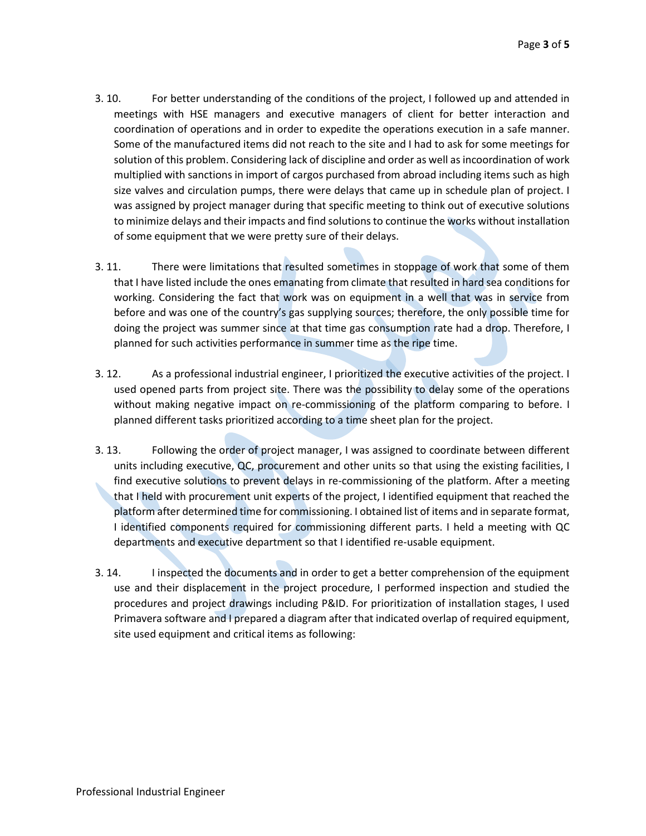- 3. 10. For better understanding of the conditions of the project, I followed up and attended in meetings with HSE managers and executive managers of client for better interaction and coordination of operations and in order to expedite the operations execution in a safe manner. Some of the manufactured items did not reach to the site and I had to ask for some meetings for solution of this problem. Considering lack of discipline and order as well as incoordination of work multiplied with sanctions in import of cargos purchased from abroad including items such as high size valves and circulation pumps, there were delays that came up in schedule plan of project. I was assigned by project manager during that specific meeting to think out of executive solutions to minimize delays and their impacts and find solutions to continue the works without installation of some equipment that we were pretty sure of their delays.
- 3. 11. There were limitations that resulted sometimes in stoppage of work that some of them that I have listed include the ones emanating from climate that resulted in hard sea conditions for working. Considering the fact that work was on equipment in a well that was in service from before and was one of the country's gas supplying sources; therefore, the only possible time for doing the project was summer since at that time gas consumption rate had a drop. Therefore, I planned for such activities performance in summer time as the ripe time.
- 3. 12. As a professional industrial engineer, I prioritized the executive activities of the project. I used opened parts from project site. There was the possibility to delay some of the operations without making negative impact on re-commissioning of the platform comparing to before. I planned different tasks prioritized according to a time sheet plan for the project.
- 3. 13. Following the order of project manager, I was assigned to coordinate between different units including executive, QC, procurement and other units so that using the existing facilities, I find executive solutions to prevent delays in re-commissioning of the platform. After a meeting that I held with procurement unit experts of the project, I identified equipment that reached the platform after determined time for commissioning. I obtained list of items and in separate format, I identified components required for commissioning different parts. I held a meeting with QC departments and executive department so that I identified re-usable equipment.
- 3. 14. I inspected the documents and in order to get a better comprehension of the equipment use and their displacement in the project procedure, I performed inspection and studied the procedures and project drawings including P&ID. For prioritization of installation stages, I used Primavera software and I prepared a diagram after that indicated overlap of required equipment, site used equipment and critical items as following: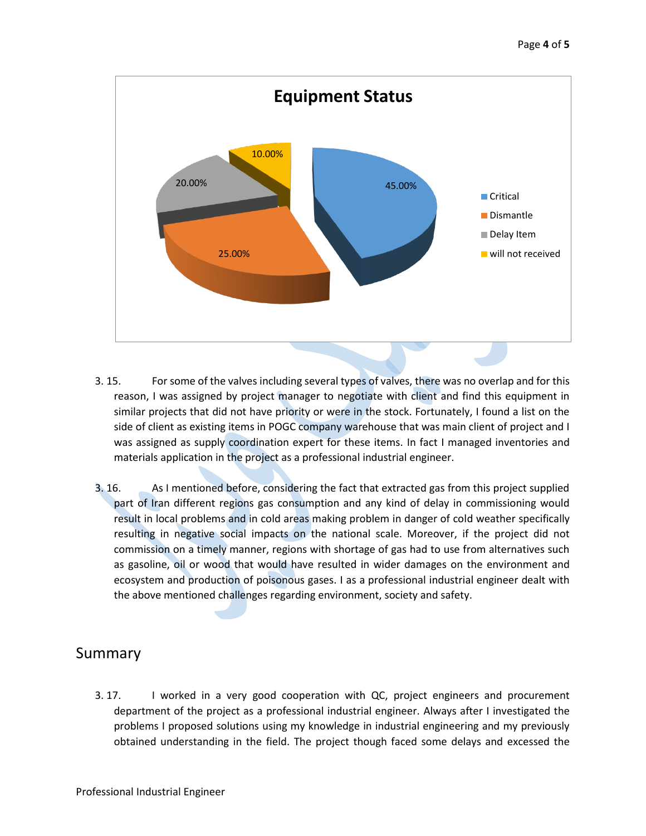

- 3. 15. For some of the valves including several types of valves, there was no overlap and for this reason, I was assigned by project manager to negotiate with client and find this equipment in similar projects that did not have priority or were in the stock. Fortunately, I found a list on the side of client as existing items in POGC company warehouse that was main client of project and I was assigned as supply coordination expert for these items. In fact I managed inventories and materials application in the project as a professional industrial engineer.
- 3. 16. As I mentioned before, considering the fact that extracted gas from this project supplied part of Iran different regions gas consumption and any kind of delay in commissioning would result in local problems and in cold areas making problem in danger of cold weather specifically resulting in negative social impacts on the national scale. Moreover, if the project did not commission on a timely manner, regions with shortage of gas had to use from alternatives such as gasoline, oil or wood that would have resulted in wider damages on the environment and ecosystem and production of poisonous gases. I as a professional industrial engineer dealt with the above mentioned challenges regarding environment, society and safety.

# Summary

3. 17. I worked in a very good cooperation with QC, project engineers and procurement department of the project as a professional industrial engineer. Always after I investigated the problems I proposed solutions using my knowledge in industrial engineering and my previously obtained understanding in the field. The project though faced some delays and excessed the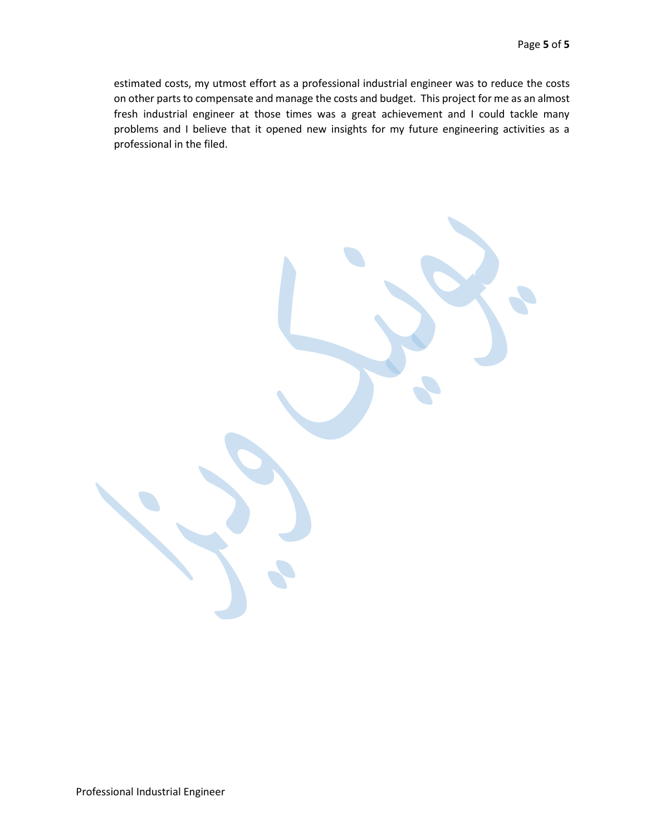estimated costs, my utmost effort as a professional industrial engineer was to reduce the costs on other parts to compensate and manage the costs and budget. This project for me as an almost fresh industrial engineer at those times was a great achievement and I could tackle many problems and I believe that it opened new insights for my future engineering activities as a professional in the filed.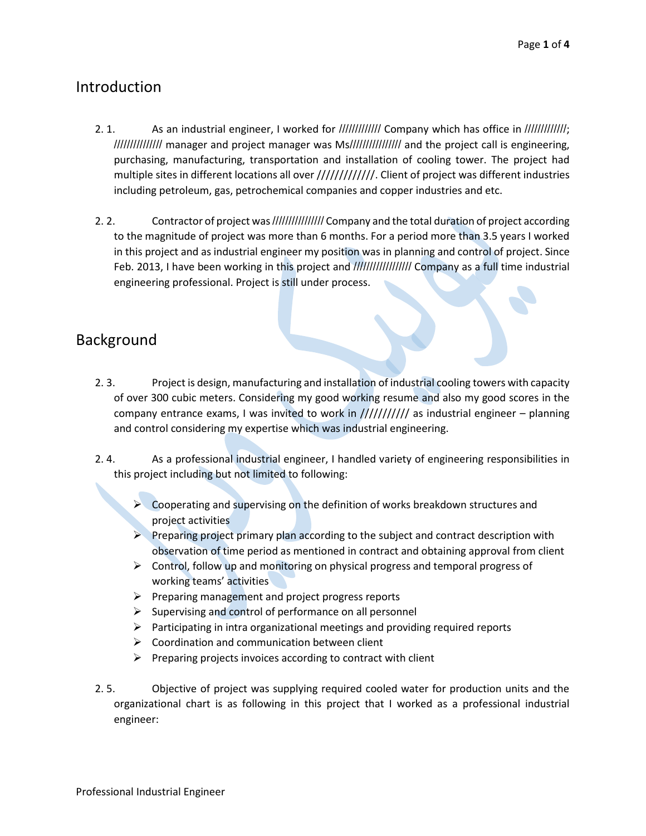# Introduction

- 2. 1. As an industrial engineer, I worked for ///////////// Company which has office in /////////////; /////////////// manager and project manager was Ms//////////////// and the project call is engineering, purchasing, manufacturing, transportation and installation of cooling tower. The project had multiple sites in different locations all over /////////////. Client of project was different industries including petroleum, gas, petrochemical companies and copper industries and etc.
- 2. 2. Contractor of project was /////////////////////// Company and the total duration of project according to the magnitude of project was more than 6 months. For a period more than 3.5 years I worked in this project and as industrial engineer my position was in planning and control of project. Since Feb. 2013, I have been working in this project and ////////////////// Company as a full time industrial engineering professional. Project is still under process.

# Background

- 2. 3. Project is design, manufacturing and installation of industrial cooling towers with capacity of over 300 cubic meters. Considering my good working resume and also my good scores in the company entrance exams, I was invited to work in  $////////$  as industrial engineer – planning and control considering my expertise which was industrial engineering.
- 2. 4. As a professional industrial engineer, I handled variety of engineering responsibilities in this project including but not limited to following:
	- ➢ Cooperating and supervising on the definition of works breakdown structures and project activities
	- $\triangleright$  Preparing project primary plan according to the subject and contract description with observation of time period as mentioned in contract and obtaining approval from client
	- $\triangleright$  Control, follow up and monitoring on physical progress and temporal progress of working teams' activities
	- $\triangleright$  Preparing management and project progress reports
	- $\triangleright$  Supervising and control of performance on all personnel
	- ➢ Participating in intra organizational meetings and providing required reports
	- $\triangleright$  Coordination and communication between client
	- $\triangleright$  Preparing projects invoices according to contract with client
- 2. 5. Objective of project was supplying required cooled water for production units and the organizational chart is as following in this project that I worked as a professional industrial engineer: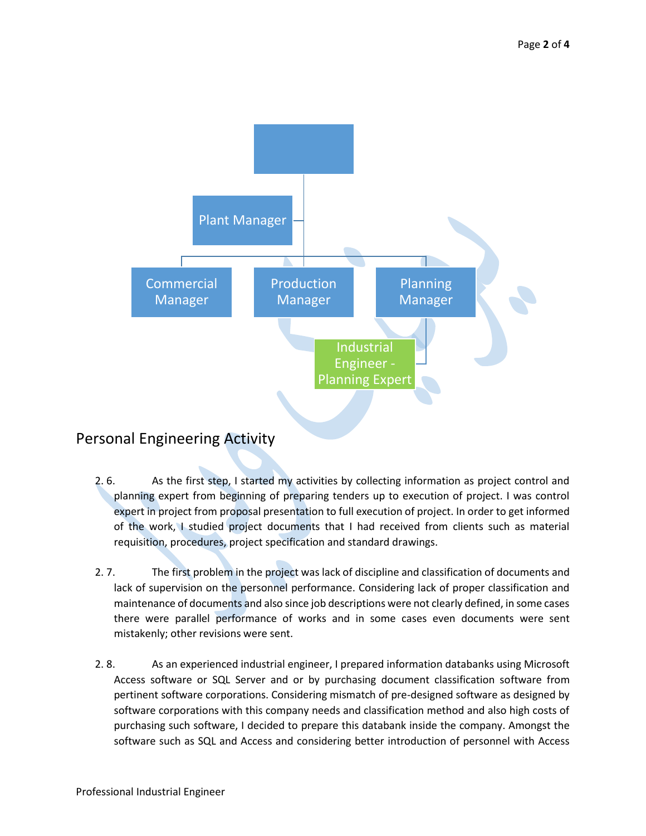

# Personal Engineering Activity

- 2. 6. As the first step, I started my activities by collecting information as project control and planning expert from beginning of preparing tenders up to execution of project. I was control expert in project from proposal presentation to full execution of project. In order to get informed of the work, I studied project documents that I had received from clients such as material requisition, procedures, project specification and standard drawings.
- 2. 7. The first problem in the project was lack of discipline and classification of documents and lack of supervision on the personnel performance. Considering lack of proper classification and maintenance of documents and also since job descriptions were not clearly defined, in some cases there were parallel performance of works and in some cases even documents were sent mistakenly; other revisions were sent.
- 2. 8. As an experienced industrial engineer, I prepared information databanks using Microsoft Access software or SQL Server and or by purchasing document classification software from pertinent software corporations. Considering mismatch of pre-designed software as designed by software corporations with this company needs and classification method and also high costs of purchasing such software, I decided to prepare this databank inside the company. Amongst the software such as SQL and Access and considering better introduction of personnel with Access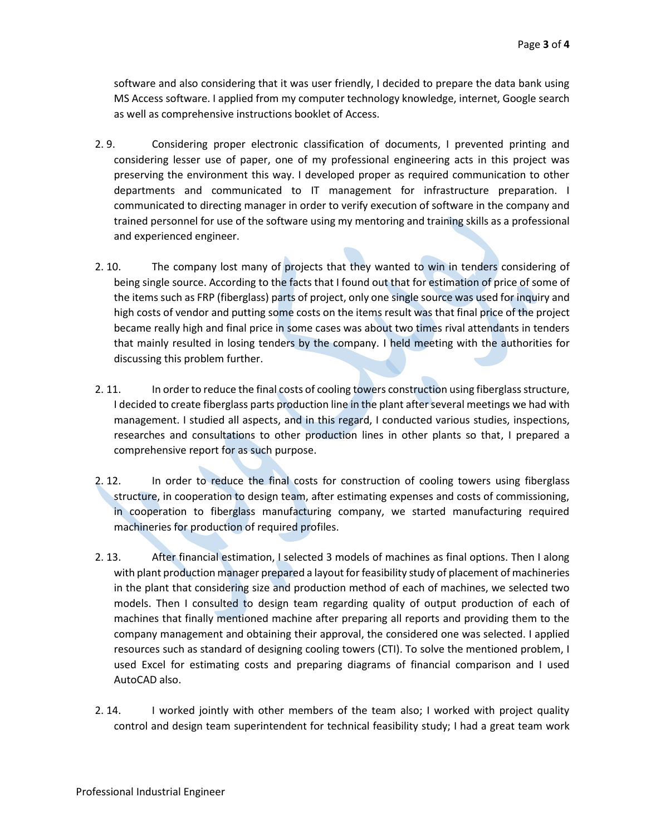software and also considering that it was user friendly, I decided to prepare the data bank using MS Access software. I applied from my computer technology knowledge, internet, Google search as well as comprehensive instructions booklet of Access.

- 2. 9. Considering proper electronic classification of documents, I prevented printing and considering lesser use of paper, one of my professional engineering acts in this project was preserving the environment this way. I developed proper as required communication to other departments and communicated to IT management for infrastructure preparation. I communicated to directing manager in order to verify execution of software in the company and trained personnel for use of the software using my mentoring and training skills as a professional and experienced engineer.
- 2. 10. The company lost many of projects that they wanted to win in tenders considering of being single source. According to the facts that I found out that for estimation of price of some of the items such as FRP (fiberglass) parts of project, only one single source was used for inquiry and high costs of vendor and putting some costs on the items result was that final price of the project became really high and final price in some cases was about two times rival attendants in tenders that mainly resulted in losing tenders by the company. I held meeting with the authorities for discussing this problem further.
- 2. 11. In order to reduce the final costs of cooling towers construction using fiberglass structure, I decided to create fiberglass parts production line in the plant after several meetings we had with management. I studied all aspects, and in this regard, I conducted various studies, inspections, researches and consultations to other production lines in other plants so that, I prepared a comprehensive report for as such purpose.
- 2. 12. In order to reduce the final costs for construction of cooling towers using fiberglass structure, in cooperation to design team, after estimating expenses and costs of commissioning, in cooperation to fiberglass manufacturing company, we started manufacturing required machineries for production of required profiles.
- 2. 13. After financial estimation, I selected 3 models of machines as final options. Then I along with plant production manager prepared a layout for feasibility study of placement of machineries in the plant that considering size and production method of each of machines, we selected two models. Then I consulted to design team regarding quality of output production of each of machines that finally mentioned machine after preparing all reports and providing them to the company management and obtaining their approval, the considered one was selected. I applied resources such as standard of designing cooling towers (CTI). To solve the mentioned problem, I used Excel for estimating costs and preparing diagrams of financial comparison and I used AutoCAD also.
- 2. 14. I worked jointly with other members of the team also; I worked with project quality control and design team superintendent for technical feasibility study; I had a great team work